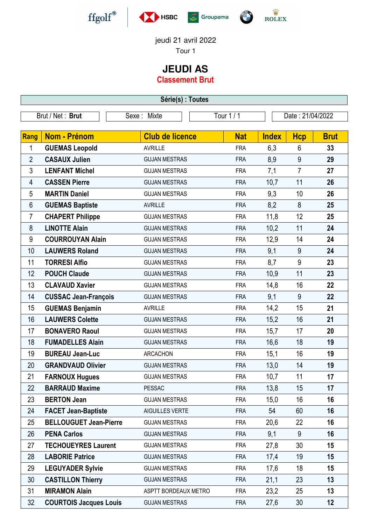







jeudi 21 avril 2022

Tour 1

## **JEUDI AS**

**Classement Brut**

**Série(s) : Toutes** Brut / Net : **Brut** Sexe : Mixte Tour 1 / 1 Date : 21/04/2022 **Rang Nom - Prénom Club de licence Nat Index Hcp Brut GUEMAS Leopold** AVRILLE FRA 6,3 6 **33 CASAUX Julien** GUJAN MESTRAS FRA 8,9 9 **29 LENFANT Michel** GUJAN MESTRAS FRA 7,1 7 **27 CASSEN Pierre** GUJAN MESTRAS FRA 10,7 11 **26 MARTIN Daniel** GUJAN MESTRAS FRA 9,3 10 **26 GUEMAS Baptiste** AVRILLE FRA 8,2 8 **25 CHAPERT Philippe** GUJAN MESTRAS FRA 11,8 12 **25 LINOTTE Alain** GUJAN MESTRAS FRA 10,2 11 **24 COURROUYAN Alain** GUJAN MESTRAS FRA 12,9 14 **24 LAUWERS Roland GUJAN MESTRAS** FRA 9,1 9 24 **TORRESI Alfio** GUJAN MESTRAS FRA 8,7 9 **23 POUCH Claude** GUJAN MESTRAS FRA 10,9 11 **23 CLAVAUD Xavier** GUJAN MESTRAS FRA 14,8 16 **22 CUSSAC Jean-François** GUJAN MESTRAS FRA 9,1 9 **22 GUEMAS Benjamin** AVRILLE FRA 14,2 15 **21 LAUWERS Colette** GUJAN MESTRAS FRA 15,2 16 **21 BONAVERO Raoul** GUJAN MESTRAS FRA 15,7 17 **20 FUMADELLES Alain** GUJAN MESTRAS FRA 16,6 18 **19 BUREAU Jean-Luc** ARCACHON FRA 15,1 16 **19 GRANDVAUD Olivier** GUJAN MESTRAS FRA 13,0 14 **19 FARNOUX Hugues** GUJAN MESTRAS FRA 10,7 11 **17 BARRAUD Maxime** PESSAC FRA 13,8 15 **17 BERTON Jean** GUJAN MESTRAS FRA 15,0 16 **16 FACET Jean-Baptiste** AIGUILLES VERTE FRA 54 60 **16 BELLOUGUET Jean-Pierre** GUJAN MESTRAS FRA 20,6 22 **16 PENA Carlos** GUJAN MESTRAS FRA 9,1 9 **16 TECHOUEYRES Laurent** GUJAN MESTRAS FRA 27,8 30 **15 LABORIE Patrice** GUJAN MESTRAS FRA 17,4 19 **15 LEGUYADER Sylvie** GUJAN MESTRAS FRA 17,6 18 **15 CASTILLON Thierry** GUJAN MESTRAS FRA 21,1 23 **13 MIRAMON Alain** ASPTT BORDEAUX METRO FRA 23,2 25 **13**

**COURTOIS Jacques Louis** GUJAN MESTRAS FRA 27,6 30 **12**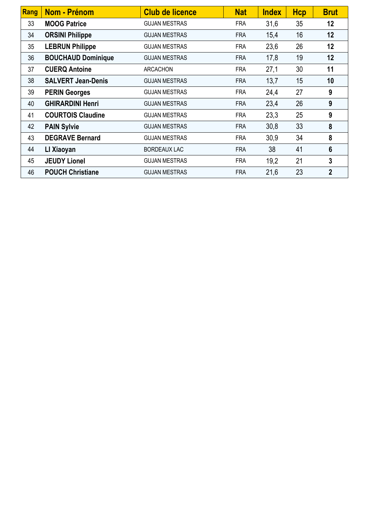| Rang | Nom - Prénom              | <b>Club de licence</b> | <b>Nat</b> | <b>Index</b> | <b>Hcp</b> | <b>Brut</b>    |
|------|---------------------------|------------------------|------------|--------------|------------|----------------|
| 33   | <b>MOOG Patrice</b>       | <b>GUJAN MESTRAS</b>   | <b>FRA</b> | 31,6         | 35         | 12             |
| 34   | <b>ORSINI Philippe</b>    | <b>GUJAN MESTRAS</b>   | <b>FRA</b> | 15,4         | 16         | 12             |
| 35   | <b>LEBRUN Philippe</b>    | <b>GUJAN MESTRAS</b>   | <b>FRA</b> | 23,6         | 26         | 12             |
| 36   | <b>BOUCHAUD Dominique</b> | <b>GUJAN MESTRAS</b>   | <b>FRA</b> | 17,8         | 19         | 12             |
| 37   | <b>CUERQ Antoine</b>      | <b>ARCACHON</b>        | <b>FRA</b> | 27,1         | 30         | 11             |
| 38   | <b>SALVERT Jean-Denis</b> | <b>GUJAN MESTRAS</b>   | <b>FRA</b> | 13,7         | 15         | 10             |
| 39   | <b>PERIN Georges</b>      | <b>GUJAN MESTRAS</b>   | <b>FRA</b> | 24,4         | 27         | 9              |
| 40   | <b>GHIRARDINI Henri</b>   | <b>GUJAN MESTRAS</b>   | <b>FRA</b> | 23,4         | 26         | 9              |
| 41   | <b>COURTOIS Claudine</b>  | <b>GUJAN MESTRAS</b>   | <b>FRA</b> | 23,3         | 25         | 9              |
| 42   | <b>PAIN Sylvie</b>        | <b>GUJAN MESTRAS</b>   | <b>FRA</b> | 30,8         | 33         | 8              |
| 43   | <b>DEGRAVE Bernard</b>    | <b>GUJAN MESTRAS</b>   | <b>FRA</b> | 30,9         | 34         | 8              |
| 44   | LI Xiaoyan                | <b>BORDEAUX LAC</b>    | <b>FRA</b> | 38           | 41         | 6              |
| 45   | <b>JEUDY Lionel</b>       | <b>GUJAN MESTRAS</b>   | <b>FRA</b> | 19,2         | 21         | 3              |
| 46   | <b>POUCH Christiane</b>   | <b>GUJAN MESTRAS</b>   | <b>FRA</b> | 21,6         | 23         | $\overline{2}$ |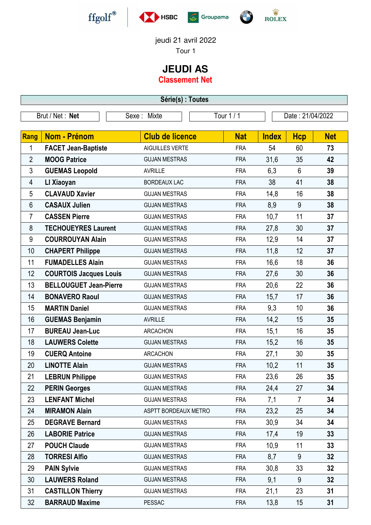







## jeudi 21 avril 2022

Tour 1

## **JEUDI AS**

**Classement Net**

**Série(s) : Toutes**

|                | Brut / Net: Net               | Sexe: Mixte            | Tour $1/1$ |              | Date: 21/04/2022 |            |
|----------------|-------------------------------|------------------------|------------|--------------|------------------|------------|
|                |                               |                        |            |              |                  |            |
| Rang           | <b>Nom - Prénom</b>           | <b>Club de licence</b> | <b>Nat</b> | <b>Index</b> | <b>Hcp</b>       | <b>Net</b> |
| 1              | <b>FACET Jean-Baptiste</b>    | AIGUILLES VERTE        | <b>FRA</b> | 54           | 60               | 73         |
| $\overline{2}$ | <b>MOOG Patrice</b>           | <b>GUJAN MESTRAS</b>   | <b>FRA</b> | 31,6         | 35               | 42         |
| 3              | <b>GUEMAS Leopold</b>         | <b>AVRILLE</b>         | <b>FRA</b> | 6,3          | $6\phantom{1}$   | 39         |
| 4              | LI Xiaoyan                    | <b>BORDEAUX LAC</b>    | <b>FRA</b> | 38           | 41               | 38         |
| 5              | <b>CLAVAUD Xavier</b>         | <b>GUJAN MESTRAS</b>   | <b>FRA</b> | 14,8         | 16               | 38         |
| 6              | <b>CASAUX Julien</b>          | <b>GUJAN MESTRAS</b>   | <b>FRA</b> | 8,9          | 9                | 38         |
| 7              | <b>CASSEN Pierre</b>          | <b>GUJAN MESTRAS</b>   | <b>FRA</b> | 10,7         | 11               | 37         |
| 8              | <b>TECHOUEYRES Laurent</b>    | <b>GUJAN MESTRAS</b>   | <b>FRA</b> | 27,8         | 30               | 37         |
| 9              | <b>COURROUYAN Alain</b>       | <b>GUJAN MESTRAS</b>   | <b>FRA</b> | 12,9         | 14               | 37         |
| 10             | <b>CHAPERT Philippe</b>       | <b>GUJAN MESTRAS</b>   | <b>FRA</b> | 11,8         | 12               | 37         |
| 11             | <b>FUMADELLES Alain</b>       | <b>GUJAN MESTRAS</b>   | <b>FRA</b> | 16,6         | 18               | 36         |
| 12             | <b>COURTOIS Jacques Louis</b> | <b>GUJAN MESTRAS</b>   | <b>FRA</b> | 27,6         | 30               | 36         |
| 13             | <b>BELLOUGUET Jean-Pierre</b> | <b>GUJAN MESTRAS</b>   | <b>FRA</b> | 20,6         | 22               | 36         |
| 14             | <b>BONAVERO Raoul</b>         | <b>GUJAN MESTRAS</b>   | <b>FRA</b> | 15,7         | 17               | 36         |
| 15             | <b>MARTIN Daniel</b>          | <b>GUJAN MESTRAS</b>   | <b>FRA</b> | 9,3          | 10               | 36         |
| 16             | <b>GUEMAS Benjamin</b>        | <b>AVRILLE</b>         | <b>FRA</b> | 14,2         | 15               | 35         |
| 17             | <b>BUREAU Jean-Luc</b>        | <b>ARCACHON</b>        | <b>FRA</b> | 15,1         | 16               | 35         |
| 18             | <b>LAUWERS Colette</b>        | <b>GUJAN MESTRAS</b>   | <b>FRA</b> | 15,2         | 16               | 35         |
| 19             | <b>CUERQ Antoine</b>          | <b>ARCACHON</b>        | <b>FRA</b> | 27,1         | 30               | 35         |
| 20             | <b>LINOTTE Alain</b>          | <b>GUJAN MESTRAS</b>   | <b>FRA</b> | 10,2         | 11               | 35         |
| 21             | <b>LEBRUN Philippe</b>        | <b>GUJAN MESTRAS</b>   | <b>FRA</b> | 23,6         | 26               | 35         |
| 22             | <b>PERIN Georges</b>          | <b>GUJAN MESTRAS</b>   | <b>FRA</b> | 24,4         | 27               | 34         |
| 23             | <b>LENFANT Michel</b>         | <b>GUJAN MESTRAS</b>   | <b>FRA</b> | 7,1          | $\overline{7}$   | 34         |
| 24             | <b>MIRAMON Alain</b>          | ASPTT BORDEAUX METRO   | <b>FRA</b> | 23,2         | 25               | 34         |
| 25             | <b>DEGRAVE Bernard</b>        | <b>GUJAN MESTRAS</b>   | <b>FRA</b> | 30,9         | 34               | 34         |
| 26             | <b>LABORIE Patrice</b>        | <b>GUJAN MESTRAS</b>   | <b>FRA</b> | 17,4         | 19               | 33         |
| 27             | <b>POUCH Claude</b>           | <b>GUJAN MESTRAS</b>   | <b>FRA</b> | 10,9         | 11               | 33         |
| 28             | <b>TORRESI Alfio</b>          | <b>GUJAN MESTRAS</b>   | <b>FRA</b> | 8,7          | 9                | 32         |
| 29             | <b>PAIN Sylvie</b>            | <b>GUJAN MESTRAS</b>   | <b>FRA</b> | 30,8         | 33               | 32         |
| 30             | <b>LAUWERS Roland</b>         | <b>GUJAN MESTRAS</b>   | <b>FRA</b> | 9,1          | 9                | 32         |
| 31             | <b>CASTILLON Thierry</b>      | <b>GUJAN MESTRAS</b>   | <b>FRA</b> | 21,1         | 23               | 31         |
| 32             | <b>BARRAUD Maxime</b>         | <b>PESSAC</b>          | <b>FRA</b> | 13,8         | 15               | 31         |